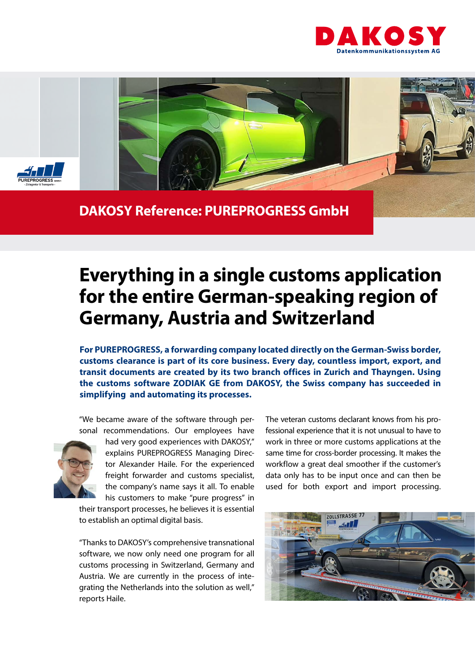



## **DAKOSY Reference: PUREPROGRESS GmbH**

## **Everything in a single customs application for the entire German-speaking region of Germany, Austria and Switzerland**

**For PUREPROGRESS, a forwarding company located directly on the German-Swiss border, customs clearance is part of its core business. Every day, countless import, export, and transit documents are created by its two branch offices in Zurich and Thayngen. Using the customs software ZODIAK GE from DAKOSY, the Swiss company has succeeded in simplifying and automating its processes.** 

"We became aware of the software through personal recommendations. Our employees have



had very good experiences with DAKOSY," explains PUREPROGRESS Managing Director Alexander Haile. For the experienced freight forwarder and customs specialist, the company's name says it all. To enable his customers to make "pure progress" in

their transport processes, he believes it is essential to establish an optimal digital basis.

"Thanks to DAKOSY's comprehensive transnational software, we now only need one program for all customs processing in Switzerland, Germany and Austria. We are currently in the process of integrating the Netherlands into the solution as well," reports Haile.

The veteran customs declarant knows from his professional experience that it is not unusual to have to work in three or more customs applications at the same time for cross-border processing. It makes the workflow a great deal smoother if the customer's data only has to be input once and can then be used for both export and import processing.